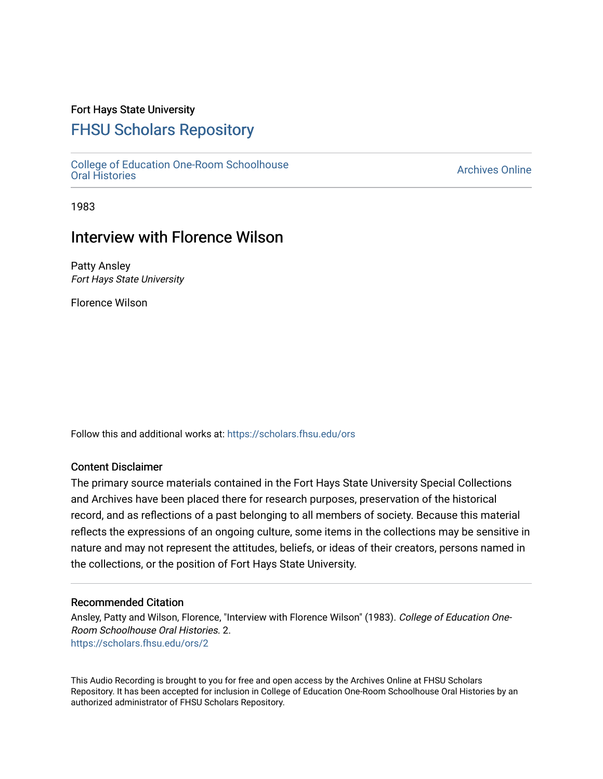### Fort Hays State University

## [FHSU Scholars Repository](https://scholars.fhsu.edu/)

[College of Education One-Room Schoolhouse](https://scholars.fhsu.edu/ors) [Oral Histories](https://scholars.fhsu.edu/ors) [Archives Online](https://scholars.fhsu.edu/archives) 

1983

## Interview with Florence Wilson

Patty Ansley Fort Hays State University

Florence Wilson

Follow this and additional works at: [https://scholars.fhsu.edu/ors](https://scholars.fhsu.edu/ors?utm_source=scholars.fhsu.edu%2Fors%2F2&utm_medium=PDF&utm_campaign=PDFCoverPages) 

#### Content Disclaimer

The primary source materials contained in the Fort Hays State University Special Collections and Archives have been placed there for research purposes, preservation of the historical record, and as reflections of a past belonging to all members of society. Because this material reflects the expressions of an ongoing culture, some items in the collections may be sensitive in nature and may not represent the attitudes, beliefs, or ideas of their creators, persons named in the collections, or the position of Fort Hays State University.

#### Recommended Citation

Ansley, Patty and Wilson, Florence, "Interview with Florence Wilson" (1983). College of Education One-Room Schoolhouse Oral Histories. 2. [https://scholars.fhsu.edu/ors/2](https://scholars.fhsu.edu/ors/2?utm_source=scholars.fhsu.edu%2Fors%2F2&utm_medium=PDF&utm_campaign=PDFCoverPages) 

This Audio Recording is brought to you for free and open access by the Archives Online at FHSU Scholars Repository. It has been accepted for inclusion in College of Education One-Room Schoolhouse Oral Histories by an authorized administrator of FHSU Scholars Repository.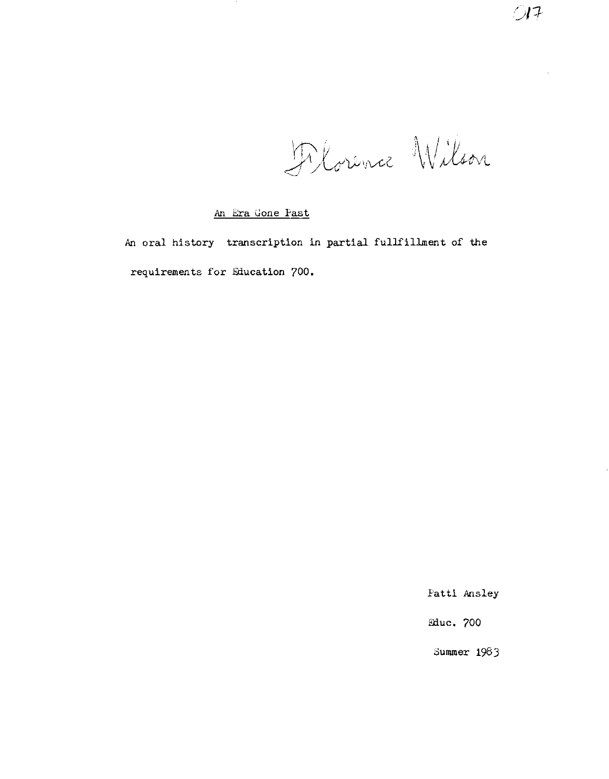Devence Wilson

#### An Era Gone Past

An oral history transcription in partial fullfillment of the requirements for Education 700,

Patti Ansley

lliuc. 700

Summer 198J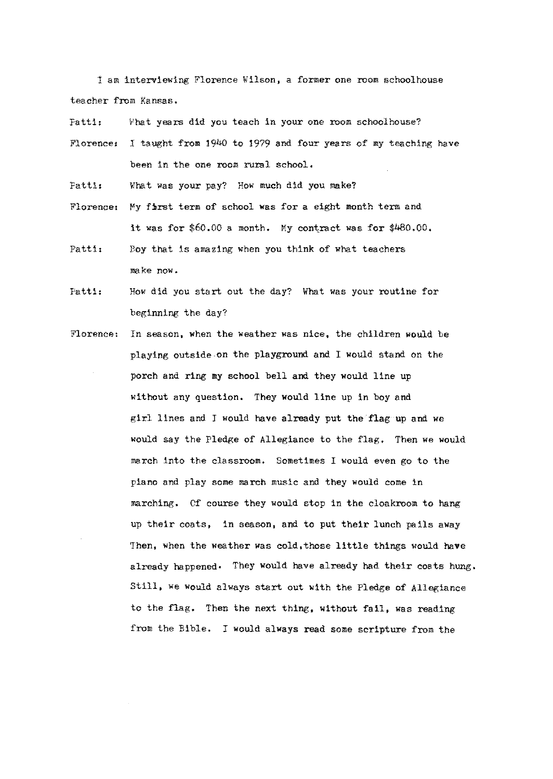I am interviewing Florence Wilson, a former one room schoolhouse teacher from Kansas.

Fatti: What years did you teach in your one room schoolhouse?

Florence: I taught from 1940 to 1979 and four years of my teaching have been in the one room rural school.

Patti, What was your pay? How much did you make?

Florence: My first term of school was for a eight month term and it was for \$60.00 a month. My contract was for \$480.00.

Patti: Boy that is amazing when you think of what teachers make now.

Patti: How did you start out the day? What was your routine for beginning the day?

Florence: In season, when the weather was nice, the children would be playing outside on the playground and I would stand on the porch and ring my school bell and they would line up without any question. They would line up in boy and girl lines and I would have already put the flag up and we would say the Pledge of Allegiance to the flag. Then we would march into the classroom. Sometimes I would even go to the piano and play some march music and they would come in marching. Of course they would stop in the cloakroom to hang up their coats, in season, and to put their lunch pails away Then, when the weather was cold,those little things would **have**  already happened• They would have already had their coats hung. Still, we would always start out with the Pledge of Allegiance to the flag. Then the next thing, without fail, was reading from the Bible. I would always read some scripture from the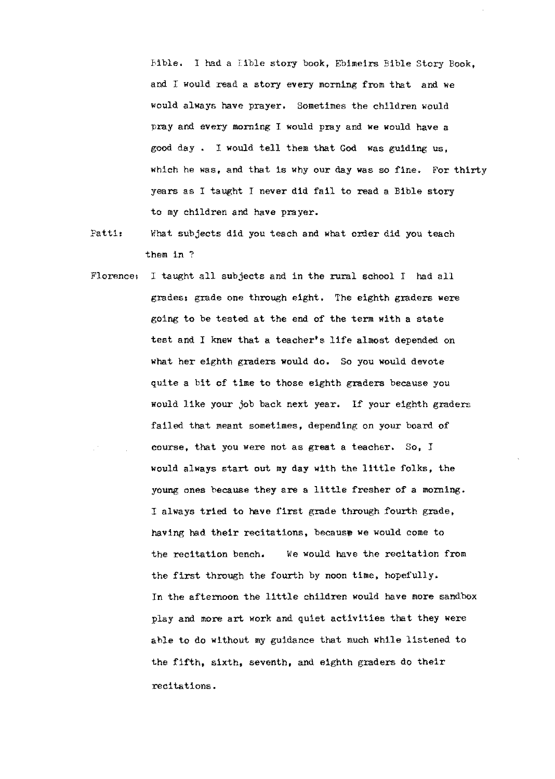Bible. I had a Eible story book, Ebimeirs Bible Story Book. and I would read a story every morning from that and we would always have prayer. Sometimes the children would pray and every morning I would pray and we would have a good day I would tell them that God was guiding us, which he was, and that is why our day was so fine. For thirty years as I taught *I* never did fail to read a Bible story to my children and have prayer.

- Patti, What subjects did you teach and what order did you teach them in?
- Florence, I taught all subjects and in the rural school I had all grades, grade one through eight, The eighth graders were going to be tested at the end of the term with a state test and I knew that a teacher's life almost depended on what her eighth graders would do, So you would devote quite a bit of time to those eighth graders because you would like your job back next year. If your eighth graders failed that meant sometimes, depending on your board of course, that you were not as great a teacher. So, *I*  would always start out my day with the little folks, the young ones because they are a little fresher of a morning, I always tried to have first grade through fourth grade, having had their recitations, because we would come to the recitation bench, We would have the recitation from the first through the fourth by noon time, hopefully. In the afternoon the little children would have more sandbox play and more art work and quiet activities that they were able to do without my guidance that much while listened to the fifth, sixth, seventh, and eighth graders do their recitations.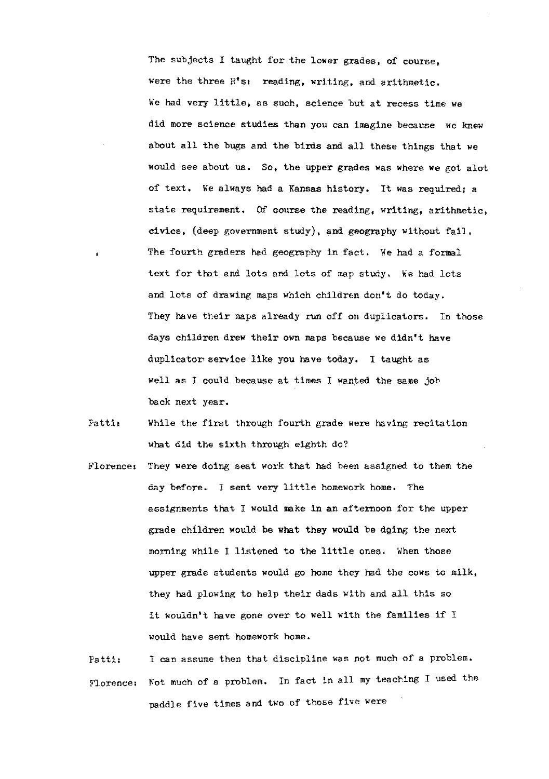The subjects I taught for the lower grades, of course, were the three  $R^*s_1$  reading, writing, and arithmetic. We had very little, as such, science but at recess time we did more science studies than you can imagine because we knew about all the bugs and the birds and all these things that we would see about us. So, the upper grades was where we got alot of text. We always had a Kansas history. It was required: a state requirement. Of course the reading, writing, arithmetic, civics, (deep government study), and geography without fail. The fourth graders had geography in fact. We had a formal text for that and lots and lots of map study, We had lots and lots of drawing maps which children don't do today. They have their maps already run off on duplicators. In those days children drew their own maps because we didn't have duplicator service like you have today. I taught as well as I could because at times I wanted the same job back next year.

- Patti: While the first through fourth grade were having recitation what did the sixth through eighth do?
- Florence: They were doing seat work that had been assigned to them the day before. I sent very little homework home. The assignments that I would make in an afternoon for the upper grade children would be what they would be dging the next morning while I listened to the little ones. When those upper grade students would go home they had the cows to milk, they had plowing to help their dads with and all this so it wouldn't have gone over to well with the families if I would have sent homework home.
- Patti: I can assume then that discipline was not much of a problem. Florence: Not much of a problem. In fact in all my teaching I used the paddle five times and two of those five were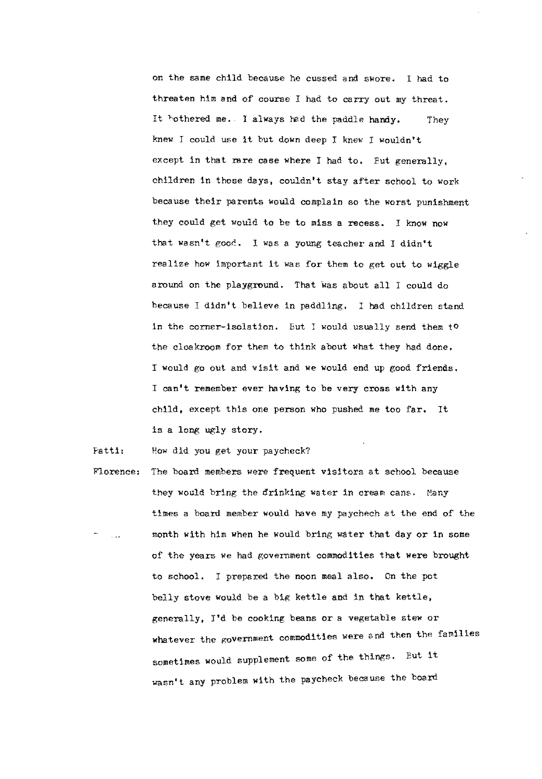on the same child because he cussed and swore. I had to threaten him and of course I had to carry out my threat. It bothered me. I always had the paddle handy. knew I could use it but down deep I knew I wouldn't They except in that rare case where I had to. But generally, children in those days, couldn't stay after school to work because their parents would complain so the worst punishment they could get would to be to miss a recess. I know now that wasn't good. I was a young teacher and I didn't realize how important it was for them to get out to wiggle around on the playground. That was about all I could do because I didn't believe in paddling. I had children stand in the corner-isolation. But I would usually send them to the cloakroom for them to think about what they had done. I would go out and visit and we would end up good friends. I can't remember ever having to be very cross with any child, except this one person who pushed me too far. It is a long ugly story.

Fatti: How did you get your paycheck?

Florence: The board members were frequent visitors at school because they would bring the drinking water in cream cans. Many times a board member would have my paychech at the end of the month with him when he would bring water that day or in some of the years we had government commodities that were brought to school. I prepared the noon meal also. On the pot belly stove would be a big kettle and in that kettle, generally, I'd be cooking beans or a vegetable stew or whatever the government commodities were and then the families sometimes would supplement some of the things, But it wasn't any problem with the paycheck because the board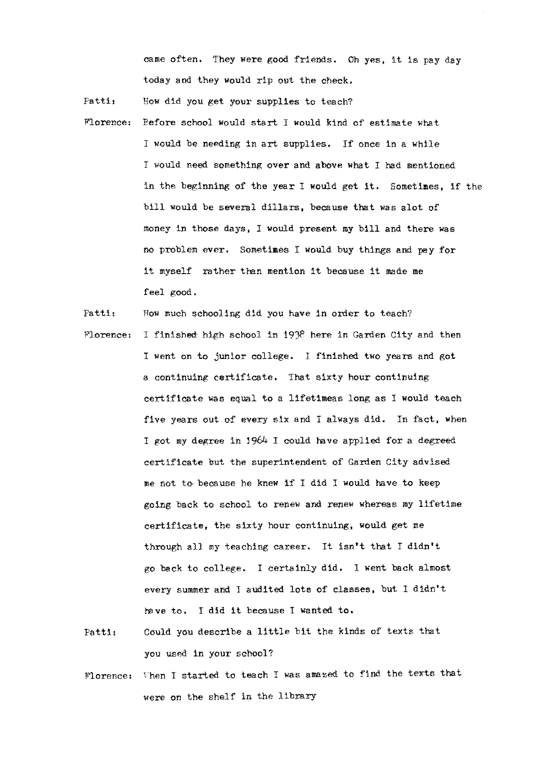came often. They were good friends. Oh yes, it is pay day today and they would rip out the check.

Patti, How did you get your supplies to teach?

Morence: l'efore school would start I would kind of estimate what I would be needing in art supplies. If once in a while I would need something over and above what I had mentioned in the beginning of the year I would get it. Sometimes, if the bill would be several dillars, because that was alot of money in those days, I would present my bill and there was no problem ever. Sometimes I would buy things and pay for it myself rather than mention it because it made me feel good.

Patti: How much schooling did you have in order to teach?

- Florence: I finished high school in 1938 here in Garden City and then I went on to junior college. I finished two years and got a continuing certificate. That sixty hour continuing certificate was equal to a lifetimeas long as I would teach five years out of every six and I always did. In fact, when I got my degree in 1964 I could have applied for a degreed certificate but the superintendent of Garden City advised me not to, because he knew if I did l would have to keep going back to school to renew and renew whereas my lifetime certificate, the sixty hour continuing, would get me through all my teaching career. It isn't that I didn't go back to college. I certainly did. l went back almost every summer and J audited lots of classes, but I didn't have to. I did it because I wanted to.
- Patti, Could you describe a little bit the kinds of texts that you used in your school?
- Florence: Then I started to teach I was amazed to find the texts that were on the shelf in the library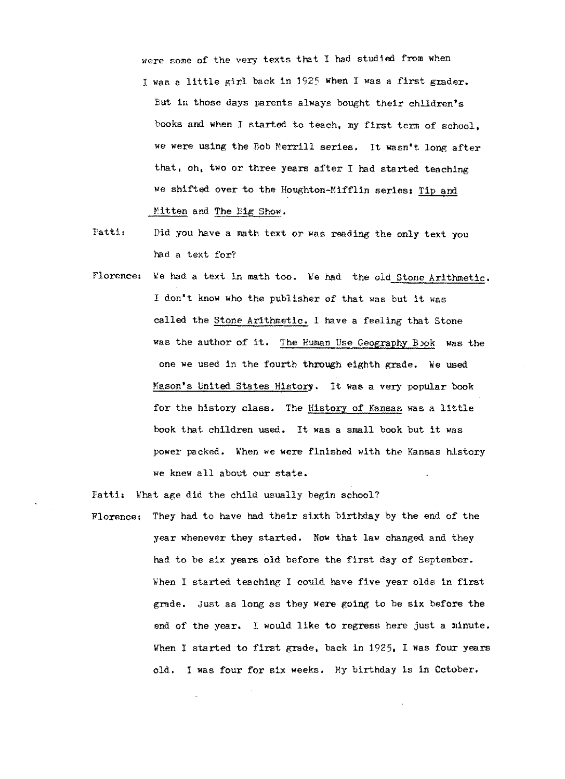were some of the very texts that I had studied from when I was a little girl back in 1925 when I was a first grader, But in those days parents always bought their children's books and when I started to teach, my first term of school, we were using the Bob Merrill series. It wasn't long after that, oh, two or three years after I had started teaching we shifted over to the Houghton-Mifflin series: Tip and Mitten and The Big Show.

- Patti, Did you have a math text or was reading the only text you had a text for?
- Florence: We had a text in math too. We had the old Stone Arithmetic. I don't know who the publisher of that was but it was called the Stone Arithmetic. I have a feeling that Stone was the author of it. The Human Use Geography Book was the one we used in the fourth through eighth grade. We used Mason's United States History. It was a very popular book for the history class. The History of Kansas was a little book that children used. It was a small book but it was power packed. When we were finished with the Kansas history we knew all about our state.

Fatti: What age did the child usually begin school? Florence: They had to have had their sixth birthday by the end of the year whenever they started. Now that law changed and they had to be six years old before the first day of September. When I started teaching I could have five year olds in first grade. Just as long as they were going to be six before the end of the year. I would like to regress here just a minute, When I started to first grade, back in 1925, I was four years old. I was four for six weeks. My birthday is in October.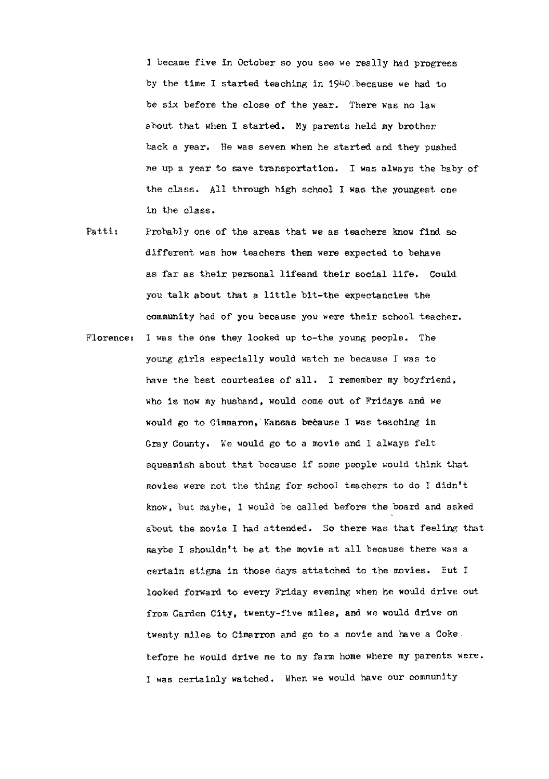I became five in October so you see we really had progress by the time I started teaching in 1940 because we had to be six before the close of the year. There was no law about that when I started. My parents held my brother back a year. He was seven when he started and they pushed me up a year to save transportation. I was always the baby of the class. All through high school I was the youngest one in the class.

- Patti: Probably one of the areas that we as teachers know find so different was how teachers then were expected to behave as far as their personal lifeand their social life. Could you talk about that a little bit-the expectancies the community had of you because you were their school teacher.
- Florence, I was the one they looked up to-the young people. The young girls especially would watch me because I was to have the best courtesies of all. I remember my boyfriend, who is now my husband, would come out of Fridays and we would go to Cimmaron, Kansas because I was teaching in Gray County. We would go to a movie and I always felt squeamish about that because if some people would think that movies were not the thing for school teachers to do I didn't know, but maybe, I would be called before the board and asked about the movie I had attended. So there was that feeling that maybe I shouldn't be at the movie at all because there was a certain stigma in those days attatched to the movies. Eut l looked forward to every Friday evening when he would drive out from Garden City, twenty-five miles, and we would drive on twenty miles to Cimarron and go to a movie and have a Coke before he would drive me to my farm home where my parents were. I was certainly watched. When we would have our community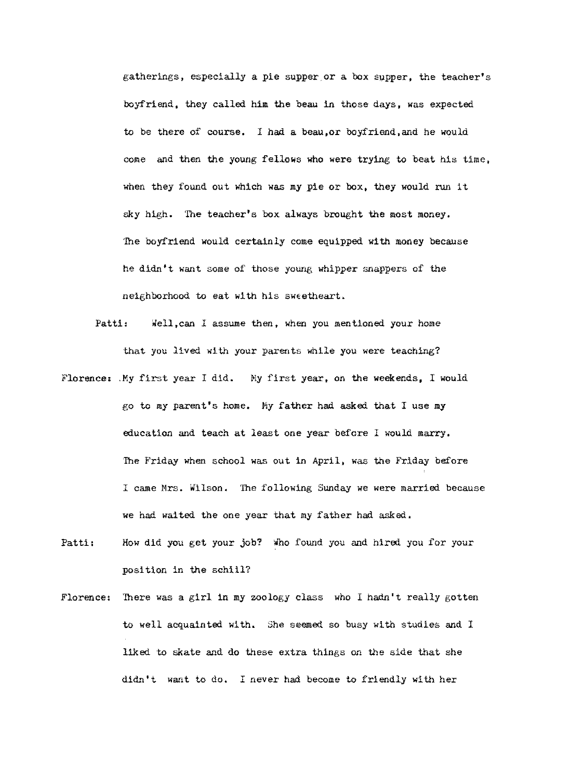gatherings, especially a pie supper or a box supper, the teacher's boyfriend, they called him the beau in those days, was expected to be there of course. I had a beau,or boyfriend,and he would come and then the young fellows who were trying to beat his time, when they found out which was my pie or box, they would run it sky high. The teacher's box always brought the most money, The boyfriend would certainly come equipped with money because he didn't want some of those young whipper snappers of the neighborhood to eat with his sweetheart.

- Patti: well,can I assume then, when you mentioned your home that you lived with your parents while you were teaching?
- Florence: My first year I did. My first year, on the weekends, I would go to my parent's home. My father had asked that I use my education and teach at least one year before I would marry, The Friday when school was out in April, was the Friday before I came Mrs. Wilson. The following Sunday we were married because we had waited the one year that my father had asked,
- Patti: How did you get your job? Who found you and hired you for your position in the schiil?
- Florence: There was a girl in my zoology class who I hadn't really gotten to well acquainted with, She seemed so busy with studies and I liked to skate and do these extra things on the side that she didn't want to do. I never had become to friendly with her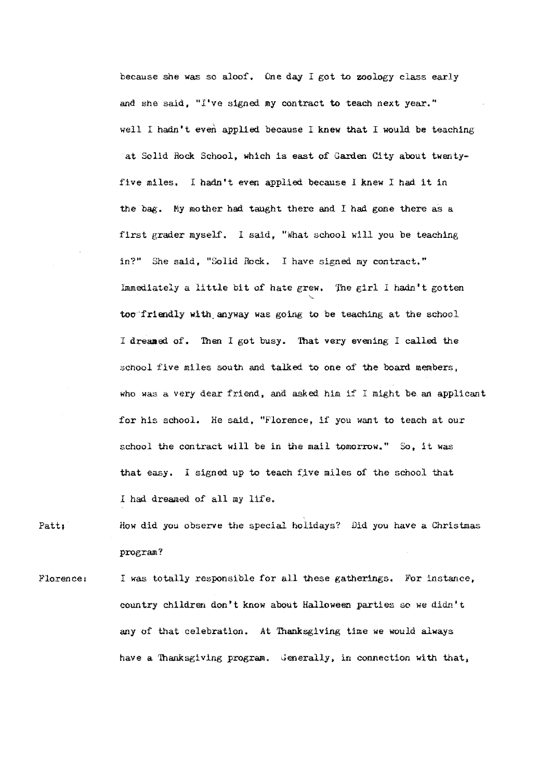because she was so aloof, One day I got to zoology class early and she said, "I've signed my contract **to** teach next year." well I hadn't even applied because I knew that I would be teaching at Solid Rock School, which is east of Garden City about twentyfive miles, I hadn't even applied because I knew I had it in the bag. My mother had taught there and I had gone there as a first grader myself. I said, "what school will you be teaching in?" She said, "Solid Rock. I have signed my contract," Immediately a little bit of hate grew. The girl I hadn't gotten **'** too·friendly with\_anyway was going to be teaching at the school I dreamed of. Then I got busy. That very evening I called the school five miles south and talked to one of the board members, who was a very dear friend, and asked him if I might be an applicant for his school. He said, "Florence, if you want to teach at our school the contract will be in the mail tomorrow." So, it was that easy, I signed up to teach five miles of the school that *<sup>I</sup>*had dreamed of all my life.

# Patt; How did you observe the special holidays? Did you have a Christmas program?

Florence: I was totally responsible for all these gatherings. For instance, country children don't know about Halloween parties so we didn't any of that celebration. At Thanksgiving time we would always have a Thanksgiving program. Generally, in connection with that,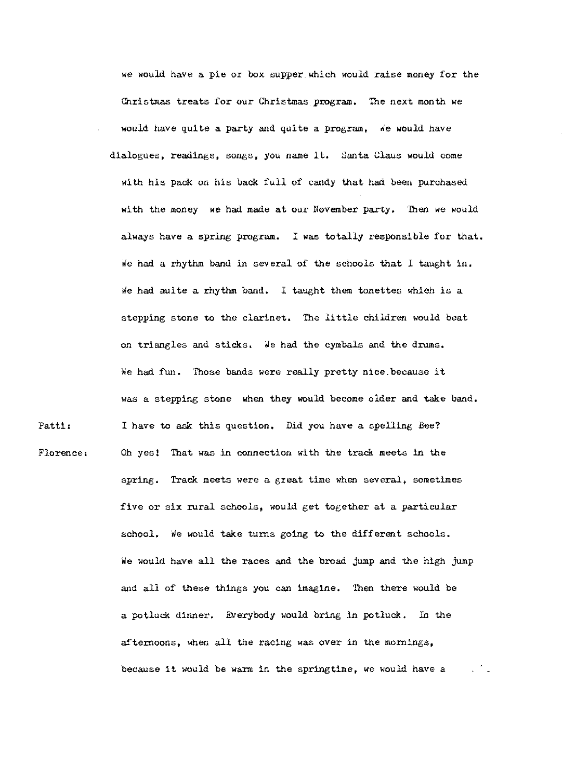Florence, we would have a ple or box supper which would raise money for the Christmas treats for our Christmas program. The next month we would have quite a party and quite a program, We would have dialogues, readings, songs, you name it. Santa Glaus would come with his pack on his back full of candy that had been purchased with the money we had made at our November party. Then we would always have a spring program. I was totally responsible for that. We had a rhythm band in several of the schools that I taught in. We had auite a rhythm band. I taught them tonettes which is a stepping stone to the clarinet. The little children would beat on triangles and sticks. We had the cymbals and the drums. We had fun. Those bands were really pretty nice.because it was a stepping stone when they would become older and take band. I have to ask this question, Did you have a spelling Bee? Oh yes! That was in connection with the track meets in the spring. Track meets were a great time when several, sometimes five or six rural schools, would get together at a particular school. We would take turns going to the different schools. We would have all the races and the broad jump and the high jump and all of these things you can imagine, Then there would be a potluck dinner. Everybody would bring in potluck, In the afternoons, when all the racing was over in the mornings, because it would be warm in the springtime, we would have a

Patti: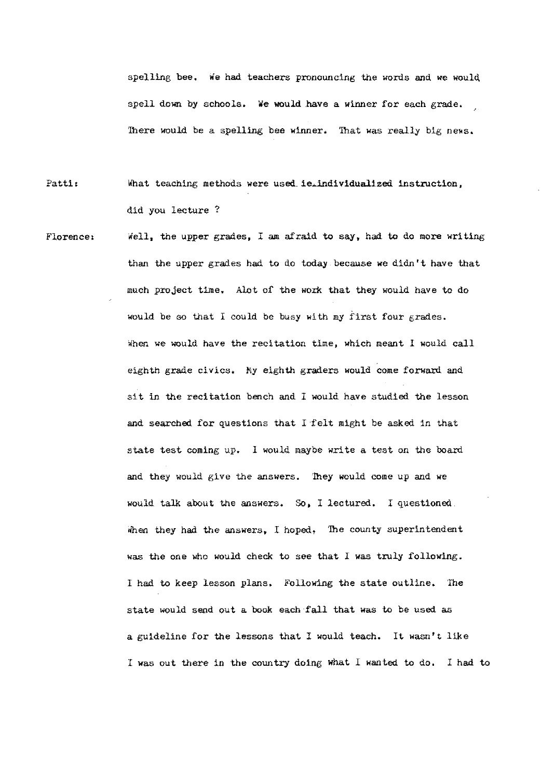spelling bee. we had teachers pronouncing the words and we would spell down by schools. We would have a winner for each grade. There would be a spelling bee winner. That was really big news.

- Patti: What teaching methods were used ie.individualized instruction, did you lecture?
- Florence, Well, the upper grades. I am afraid to say, had to do more writing than the upper grades had to do today because we didn't have that much project time. Alot of the work that they would have to do would be so that I could be busy with my f'irst four grades. When we would have the recitation time, which meant I would call eighth grade civics. My eighth graders would come forward and sit in the recitation bench and I would have studied the lesson and searched for questions that I felt might be asked in that state test coming up. 1 would maybe write a test on the board and they would give the answers. They would come up and we would talk about the answers. So, I lectured. I questioned. when they had the answers, I hoped. The county superintendent was the one who would check to see that I was truly following. I had to keep lesson plans. Following the state outline. The state would send out a book each ·fall that was to be used as a guideline for the lessons that I would teach. It wasn't like I was out there in the country doing what I wanted to do. I had to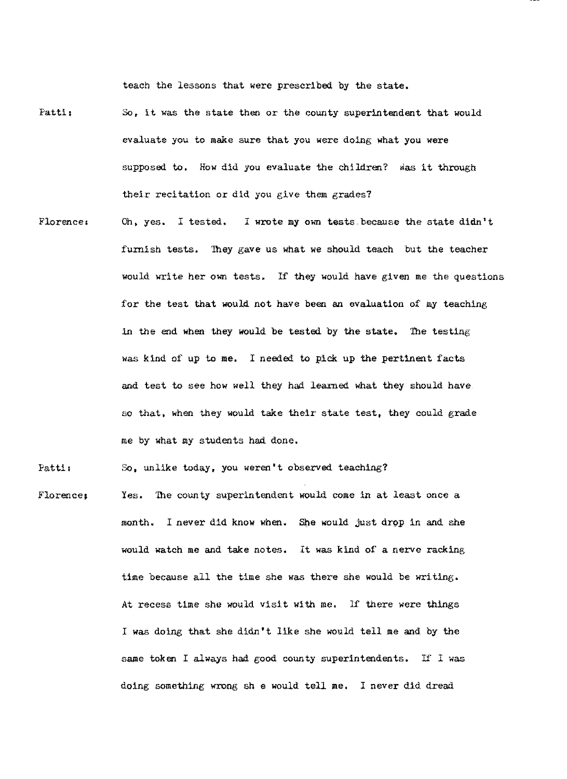teach the lessons that were prescribed by the state.

- Patti: So, it was the state then or the county superintendent that would evaluate you to make sure that you were doing what you were supposed to. How did you evaluate the children? was it through their recitation or did you give them grades?
- Florence, Oh, yes. I tested, I wrote my own tests,because the state didn't furnish tests, They gave us what we should teach but the teacher would write her own tests. If they would have given me the questions for the test that would not have been an evaluation of my teaching in the end when they would be tested by the state, The testing was kind of up to me. I needed to pick up the pertinent facts and test to see how well they had learned what they should have so that, when they would take their state test, they could grade me by what my students had done.

Patti: So, unlike today, you weren't observed teaching?

Florence; Yes. The county superintendent would come in at least once a month. I never did know when. She would just drop in and she would watch me and take notes. It was kind of a nerve racking time because all the time she was there she would be writing. At recess time she would visit with me. If there were things I was doing that she didn't like she would tell me and by the same token I always had good county superintendents. If I was doing something wrong she would tell me. I never did dread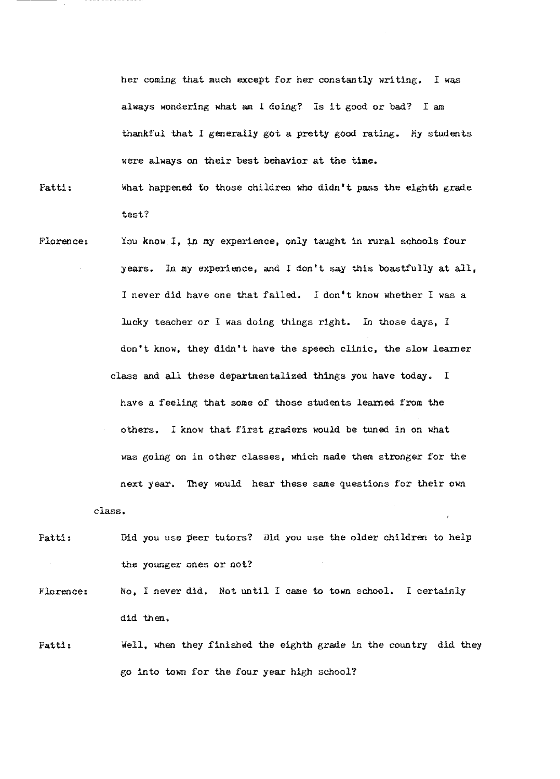her coming that much except for her constantly writing. I was always wondering what am I doing? Is it good or bad? <sup>I</sup>am thankful that I generally got a pretty good rating. My students were always on their best behavior at the time.

Patti: What happened to those children who didn't pass the eighth grade test?

- Florence, You know I, in my experience, only taught in rural schools four years. In my experience, and I don't say this boastfully at all, I never did have one that failed. I don't know whether I was a lucky teacher or I was doing things right. In those days, *1*  don't know, they didn't have the speech clinic, the slow learner class and all these departmentalized things you have today. I have a feeling that some of those students learned from the others. I know that first graders would be tuned in on what was going on in other classes, which made them stronger for the next year. They would hear these same questions for their own
- Patti: Did you use peer tutors? Did you use the older children to help the younger ones or not?

**class~** 

Florence: No, I never did. Not until I came to town school. I certainly did then,

Patti, Well, when they finished the eighth grade in the country did they go into town for the four year high school?